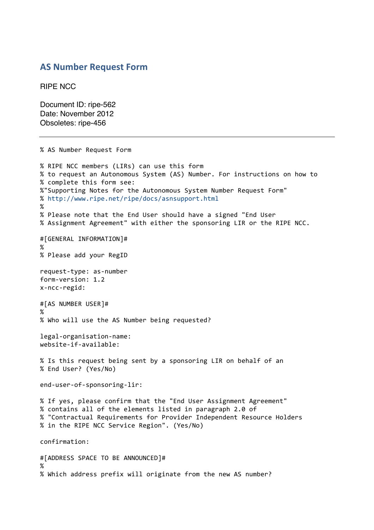## **AS Number Request Form**

RIPE NCC

Document ID: ripe-562 Date: November 2012 Obsoletes: ripe-456

% AS Number Request Form % RIPE NCC members (LIRs) can use this form % to request an Autonomous System (AS) Number. For instructions on how to % complete this form see: %"Supporting Notes for the Autonomous System Number Request Form" %"http://www.ripe.net/ripe/docs/asnsupport.html % % Please note that the End User should have a signed "End User % Assignment Agreement" with either the sponsoring LIR or the RIPE NCC. #[GENERAL"INFORMATION]# % % Please add your RegID request-type: as-number form-version: 1.2 x-ncc-regid: #[AS NUMBER USER]# % % Who will use the AS Number being requested? legal-organisation-name: website-if-available: % Is this request being sent by a sponsoring LIR on behalf of an %"End"User?"(Yes/No) end-user-of-sponsoring-lir: % If yes, please confirm that the "End User Assignment Agreement" % contains all of the elements listed in paragraph 2.0 of % "Contractual Requirements for Provider Independent Resource Holders % in the RIPE NCC Service Region". (Yes/No) confirmation: #[ADDRESS SPACE TO BE ANNOUNCED]# % % Which address prefix will originate from the new AS number?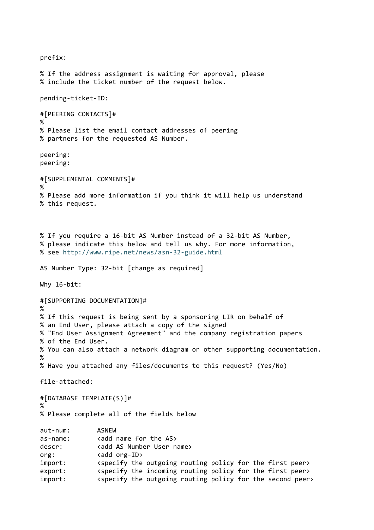prefix: % If the address assignment is waiting for approval, please % include the ticket number of the request below. pending-ticket-ID: #[PEERING"CONTACTS]# % % Please list the email contact addresses of peering % partners for the requested AS Number. peering: peering: #[SUPPLEMENTAL COMMENTS]# % % Please add more information if you think it will help us understand % this request. % If you require a 16-bit AS Number instead of a 32-bit AS Number, % please indicate this below and tell us why. For more information, % see http://www.ripe.net/news/asn-32-guide.html AS Number Type: 32-bit [change as required] Why  $16$ -bit: #[SUPPORTING DOCUMENTATION]# % % If this request is being sent by a sponsoring LIR on behalf of % an End User, please attach a copy of the signed % "End User Assignment Agreement" and the company registration papers % of the End User. % You can also attach a network diagram or other supporting documentation. % % Have you attached any files/documents to this request? (Yes/No) file-attached: #[DATABASE TEMPLATE(S)]# % % Please complete all of the fields below aut-num: ASNEW as-name: <add name for the AS> descr: <add AS Number User name> org: <add org-ID> import:  $\langle$  <specify the outgoing routing policy for the first peer> export:  $\langle$  <specify the incoming routing policy for the first peer> import:  $\langle$  <specify the outgoing routing policy for the second peer>